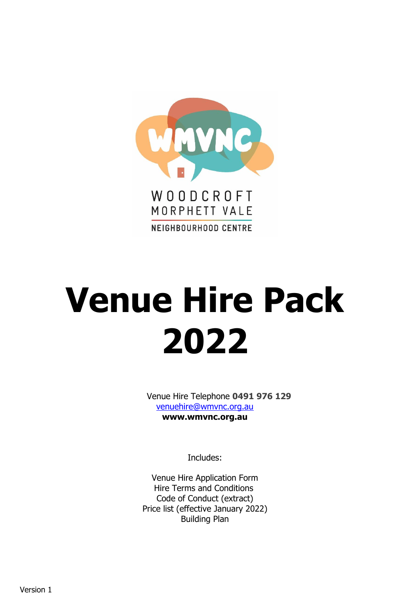

# **Venue Hire Pack 2022**

Venue Hire Telephone **0491 976 129** [venuehire@wmvnc.org.au](mailto:venuehire@wmvnc.org.au) **www.wmvnc.org.au**

Includes:

Venue Hire Application Form Hire Terms and Conditions Code of Conduct (extract) Price list (effective January 2022) Building Plan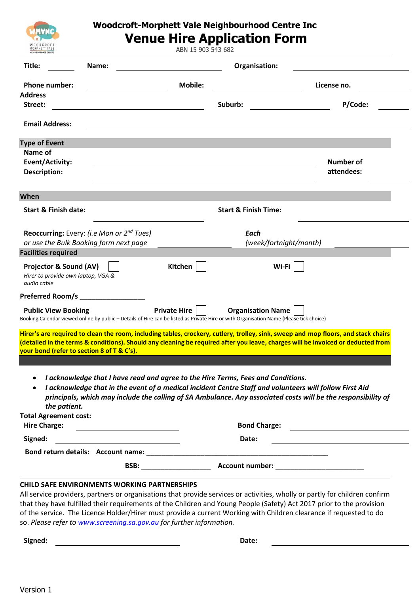

### **Woodcroft-Morphett Vale Neighbourhood Centre Inc Venue Hire Application Form**

ABN 15 903 543 682

| Title:<br>Name:                                                                                                                                                                                                                                                                                                      |                                                                                                                                                                                             | Organisation:                   |                                                                                                               |
|----------------------------------------------------------------------------------------------------------------------------------------------------------------------------------------------------------------------------------------------------------------------------------------------------------------------|---------------------------------------------------------------------------------------------------------------------------------------------------------------------------------------------|---------------------------------|---------------------------------------------------------------------------------------------------------------|
| <b>Phone number:</b>                                                                                                                                                                                                                                                                                                 | <b>Mobile:</b>                                                                                                                                                                              |                                 | License no.                                                                                                   |
| <b>Address</b>                                                                                                                                                                                                                                                                                                       |                                                                                                                                                                                             |                                 |                                                                                                               |
| Street:                                                                                                                                                                                                                                                                                                              |                                                                                                                                                                                             | Suburb:                         | P/Code:                                                                                                       |
| <b>Email Address:</b>                                                                                                                                                                                                                                                                                                |                                                                                                                                                                                             |                                 |                                                                                                               |
| <b>Type of Event</b>                                                                                                                                                                                                                                                                                                 |                                                                                                                                                                                             |                                 |                                                                                                               |
| Name of                                                                                                                                                                                                                                                                                                              |                                                                                                                                                                                             |                                 |                                                                                                               |
| <b>Event/Activity:</b>                                                                                                                                                                                                                                                                                               |                                                                                                                                                                                             |                                 | Number of                                                                                                     |
| <b>Description:</b>                                                                                                                                                                                                                                                                                                  |                                                                                                                                                                                             |                                 | attendees:                                                                                                    |
|                                                                                                                                                                                                                                                                                                                      |                                                                                                                                                                                             |                                 |                                                                                                               |
| When                                                                                                                                                                                                                                                                                                                 |                                                                                                                                                                                             |                                 |                                                                                                               |
| <b>Start &amp; Finish date:</b>                                                                                                                                                                                                                                                                                      |                                                                                                                                                                                             | <b>Start &amp; Finish Time:</b> |                                                                                                               |
| <b>Reoccurring:</b> Every: (i.e Mon or 2 <sup>nd</sup> Tues)                                                                                                                                                                                                                                                         |                                                                                                                                                                                             | Each                            |                                                                                                               |
| or use the Bulk Booking form next page                                                                                                                                                                                                                                                                               |                                                                                                                                                                                             | (week/fortnight/month)          |                                                                                                               |
| <b>Facilities required</b>                                                                                                                                                                                                                                                                                           |                                                                                                                                                                                             |                                 |                                                                                                               |
| Projector & Sound (AV)<br>Hirer to provide own laptop, VGA &<br>audio cable<br><b>Preferred Room/s</b>                                                                                                                                                                                                               | Kitchen                                                                                                                                                                                     | Wi-Fi                           |                                                                                                               |
|                                                                                                                                                                                                                                                                                                                      |                                                                                                                                                                                             |                                 |                                                                                                               |
| <b>Public View Booking</b><br>Booking Calendar viewed online by public - Details of Hire can be listed as Private Hire or with Organisation Name (Please tick choice)                                                                                                                                                | <b>Private Hire</b>                                                                                                                                                                         | <b>Organisation Name</b>        |                                                                                                               |
| Hirer's are required to clean the room, including tables, crockery, cutlery, trolley, sink, sweep and mop floors, and stack chairs<br>(detailed in the terms & conditions). Should any cleaning be required after you leave, charges will be invoiced or deducted from<br>your bond (refer to section 8 of T & C's). |                                                                                                                                                                                             |                                 |                                                                                                               |
| the patient.                                                                                                                                                                                                                                                                                                         | I acknowledge that I have read and agree to the Hire Terms, Fees and Conditions.<br>I acknowledge that in the event of a medical incident Centre Staff and volunteers will follow First Aid |                                 | principals, which may include the calling of SA Ambulance. Any associated costs will be the responsibility of |
|                                                                                                                                                                                                                                                                                                                      |                                                                                                                                                                                             |                                 |                                                                                                               |
| <b>Total Agreement cost:</b><br><b>Hire Charge:</b><br><u> 1980 - Andrea Station Barbara, amerikan per</u>                                                                                                                                                                                                           |                                                                                                                                                                                             | <b>Bond Charge:</b>             | <u> 1989 - Andrea Stadt Britain, fransk politik (</u>                                                         |
| Signed:                                                                                                                                                                                                                                                                                                              | <u> 1980 - Andrea Andrew Maria (h. 1980).</u>                                                                                                                                               | Date:                           |                                                                                                               |
| Bond return details: Account name: Name and the state of the state of the state of the state of the state of the state of the state of the state of the state of the state of the state of the state of the state of the state                                                                                       |                                                                                                                                                                                             |                                 |                                                                                                               |

that they have fulfilled their requirements of the Children and Young People (Safety) Act 2017 prior to the provision of the service. The Licence Holder/Hirer must provide a current Working with Children clearance if requested to do so. *Please refer t[o www.screening.sa.gov.au](http://www.screening.sa.gov.au/) for further information.*

**Signed: Date:**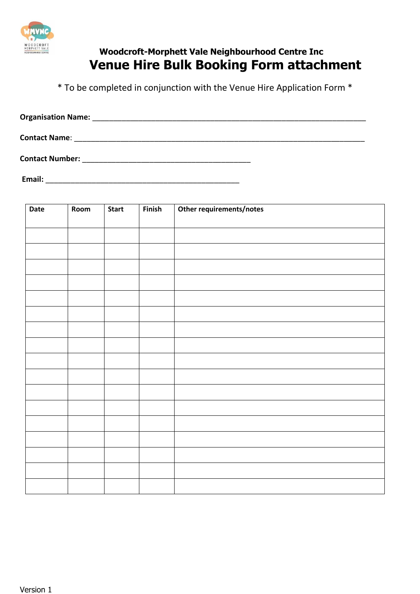

## **Woodcroft-Morphett Vale Neighbourhood Centre Inc Venue Hire Bulk Booking Form attachment**

\* To be completed in conjunction with the Venue Hire Application Form \*

| <b>Organisation Name:</b> |  |  |
|---------------------------|--|--|
| <b>Contact Name:</b>      |  |  |
| <b>Contact Number:</b>    |  |  |

**Email:** \_\_\_\_\_\_\_\_\_\_\_\_\_\_\_\_\_\_\_\_\_\_\_\_\_\_\_\_\_\_\_\_\_\_\_\_\_\_\_\_\_\_\_\_\_\_

| Date | Room | <b>Start</b> | Finish | Other requirements/notes |
|------|------|--------------|--------|--------------------------|
|      |      |              |        |                          |
|      |      |              |        |                          |
|      |      |              |        |                          |
|      |      |              |        |                          |
|      |      |              |        |                          |
|      |      |              |        |                          |
|      |      |              |        |                          |
|      |      |              |        |                          |
|      |      |              |        |                          |
|      |      |              |        |                          |
|      |      |              |        |                          |
|      |      |              |        |                          |
|      |      |              |        |                          |
|      |      |              |        |                          |
|      |      |              |        |                          |
|      |      |              |        |                          |
|      |      |              |        |                          |
|      |      |              |        |                          |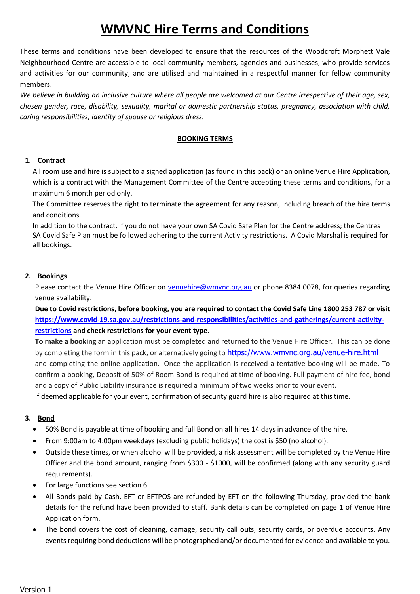# **WMVNC Hire Terms and Conditions**

These terms and conditions have been developed to ensure that the resources of the Woodcroft Morphett Vale Neighbourhood Centre are accessible to local community members, agencies and businesses, who provide services and activities for our community, and are utilised and maintained in a respectful manner for fellow community members.

*We believe in building an inclusive culture where all people are welcomed at our Centre irrespective of their age, sex, chosen gender, race, disability, sexuality, marital or domestic partnership status, pregnancy, association with child, caring responsibilities, identity of spouse or religious dress.*

#### **BOOKING TERMS**

#### **1. Contract**

All room use and hire is subject to a signed application (as found in this pack) or an online Venue Hire Application, which is a contract with the Management Committee of the Centre accepting these terms and conditions, for a maximum 6 month period only.

The Committee reserves the right to terminate the agreement for any reason, including breach of the hire terms and conditions.

In addition to the contract, if you do not have your own SA Covid Safe Plan for the Centre address; the Centres SA Covid Safe Plan must be followed adhering to the current Activity restrictions. A Covid Marshal is required for all bookings.

#### **2. Bookings**

Please contact the Venue Hire Officer on venuehire@wmvnc.org.au or phone 8384 0078, for queries regarding venue availability.

**Due to Covid restrictions, before booking, you are required to contact the Covid Safe Line 1800 253 787 or visit [https://www.covid-19.sa.gov.au/restrictions-and-responsibilities/activities-and-gatherings/current-activity](https://www.covid-19.sa.gov.au/restrictions-and-responsibilities/activities-and-gatherings/current-activity-restrictions)[restrictions](https://www.covid-19.sa.gov.au/restrictions-and-responsibilities/activities-and-gatherings/current-activity-restrictions) and check restrictions for your event type.** 

**To make a booking** an application must be completed and returned to the Venue Hire Officer. This can be done by completing the form in this pack, or alternatively going to <https://www.wmvnc.org.au/venue-hire.html> and completing the online application. Once the application is received a tentative booking will be made. To confirm a booking, Deposit of 50% of Room Bond is required at time of booking. Full payment of hire fee, bond and a copy of Public Liability insurance is required a minimum of two weeks prior to your event. If deemed applicable for your event, confirmation of security guard hire is also required at this time.

#### **3. Bond**

- 50% Bond is payable at time of booking and full Bond on **all** hires 14 days in advance of the hire.
- From 9:00am to 4:00pm weekdays (excluding public holidays) the cost is \$50 (no alcohol).
- Outside these times, or when alcohol will be provided, a risk assessment will be completed by the Venue Hire Officer and the bond amount, ranging from \$300 - \$1000, will be confirmed (along with any security guard requirements).
- For large functions see section 6.
- All Bonds paid by Cash, EFT or EFTPOS are refunded by EFT on the following Thursday, provided the bank details for the refund have been provided to staff. Bank details can be completed on page 1 of Venue Hire Application form.
- The bond covers the cost of cleaning, damage, security call outs, security cards, or overdue accounts. Any events requiring bond deductions will be photographed and/or documented for evidence and available to you.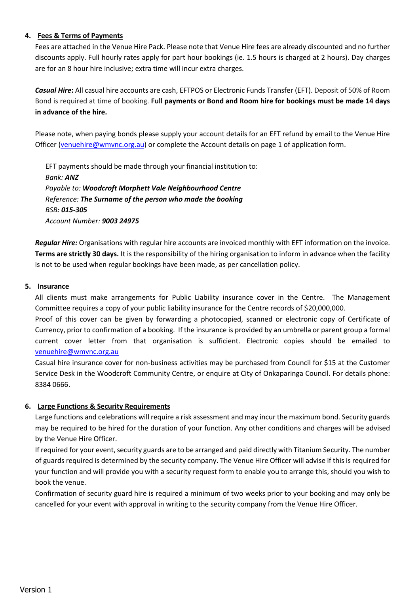#### **4. Fees & Terms of Payments**

Fees are attached in the Venue Hire Pack. Please note that Venue Hire fees are already discounted and no further discounts apply. Full hourly rates apply for part hour bookings (ie. 1.5 hours is charged at 2 hours). Day charges are for an 8 hour hire inclusive; extra time will incur extra charges.

*Casual Hire***:** All casual hire accounts are cash, EFTPOS or Electronic Funds Transfer (EFT). Deposit of 50% of Room Bond is required at time of booking. **Full payments or Bond and Room hire for bookings must be made 14 days in advance of the hire.** 

Please note, when paying bonds please supply your account details for an EFT refund by email to the Venue Hire Officer (venuehire@wmvnc.org.au) or complete the Account details on page 1 of application form.

EFT payments should be made through your financial institution to: *Bank: ANZ Payable to: Woodcroft Morphett Vale Neighbourhood Centre Reference: The Surname of the person who made the booking BSB: 015-305 Account Number: 9003 24975*

*Regular Hire:* Organisations with regular hire accounts are invoiced monthly with EFT information on the invoice. **Terms are strictly 30 days.** It is the responsibility of the hiring organisation to inform in advance when the facility is not to be used when regular bookings have been made, as per cancellation policy.

#### **5. Insurance**

All clients must make arrangements for Public Liability insurance cover in the Centre. The Management Committee requires a copy of your public liability insurance for the Centre records of \$20,000,000.

Proof of this cover can be given by forwarding a photocopied, scanned or electronic copy of Certificate of Currency, prior to confirmation of a booking. If the insurance is provided by an umbrella or parent group a formal current cover letter from that organisation is sufficient. Electronic copies should be emailed to venuehire@wmvnc.org.au

Casual hire insurance cover for non-business activities may be purchased from Council for \$15 at the Customer Service Desk in the Woodcroft Community Centre, or enquire at City of Onkaparinga Council. For details phone: 8384 0666.

#### **6. Large Functions & Security Requirements**

Large functions and celebrations will require a risk assessment and may incur the maximum bond. Security guards may be required to be hired for the duration of your function. Any other conditions and charges will be advised by the Venue Hire Officer.

If required for your event, security guards are to be arranged and paid directly with Titanium Security. The number of guards required is determined by the security company. The Venue Hire Officer will advise if this is required for your function and will provide you with a security request form to enable you to arrange this, should you wish to book the venue.

Confirmation of security guard hire is required a minimum of two weeks prior to your booking and may only be cancelled for your event with approval in writing to the security company from the Venue Hire Officer.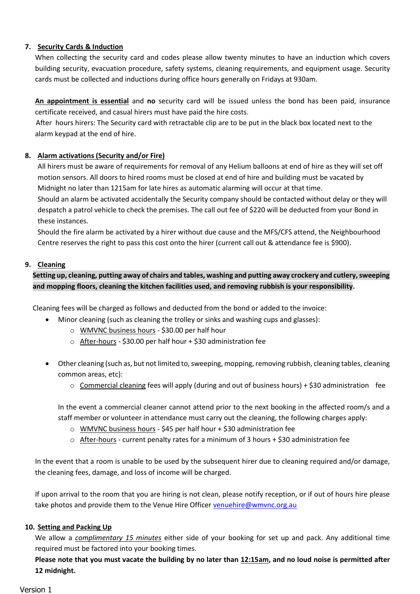#### **7. Security Cards & Induction**

When collecting the security card and codes please allow twenty minutes to have an induction which covers building security, evacuation procedure, safety systems, cleaning requirements, and equipment usage. Security cards must be collected and inductions during office hours generally on Fridays at 930am.

**An appointment is essential** and **no** security card will be issued unless the bond has been paid, insurance certificate received, and casual hirers must have paid the hire costs.

After hours hirers: The Security card with retractable clip are to be put in the black box located next to the alarm keypad at the end of hire.

#### **8. Alarm activations (Security and/or Fire)**

All hirers must be aware of requirements for removal of any Helium balloons at end of hire as they will set off motion sensors. All doors to hired rooms must be closed at end of hire and building must be vacated by Midnight no later than 1215am for late hires as automatic alarming will occur at that time.

Should an alarm be activated accidentally the Security company should be contacted without delay or they will despatch a patrol vehicle to check the premises. The call out fee of \$220 will be deducted from your Bond in these instances.

Should the fire alarm be activated by a hirer without due cause and the MFS/CFS attend, the Neighbourhood Centre reserves the right to pass this cost onto the hirer (current call out & attendance fee is \$900).

#### **9. Cleaning**

#### **Setting up, cleaning, putting away of chairs and tables, washing and putting away crockery and cutlery, sweeping and mopping floors, cleaning the kitchen facilities used, and removing rubbish is your responsibility.**

Cleaning fees will be charged as follows and deducted from the bond or added to the invoice:

- Minor cleaning (such as cleaning the trolley or sinks and washing cups and glasses):
	- o WMVNC business hours \$30.00 per half hour
	- o After-hours \$30.00 per half hour + \$30 administration fee
- Other cleaning (such as, but not limited to, sweeping, mopping, removing rubbish, cleaning tables, cleaning common areas, etc):
	- $\circ$  Commercial cleaning fees will apply (during and out of business hours) + \$30 administration fee

In the event a commercial cleaner cannot attend prior to the next booking in the affected room/s and a staff member or volunteer in attendance must carry out the cleaning, the following charges apply:

- o WMVNC business hours \$45 per half hour + \$30 administration fee
- $\circ$  After-hours current penalty rates for a minimum of 3 hours + \$30 administration fee

In the event that a room is unable to be used by the subsequent hirer due to cleaning required and/or damage, the cleaning fees, damage, and loss of income will be charged.

If upon arrival to the room that you are hiring is not clean, please notify reception, or if out of hours hire please take photos and provide them to the Venue Hire Officer venuehire@wmvnc.org.au

#### **10. Setting and Packing Up**

We allow a *complimentary 15 minutes* either side of your booking for set up and pack. Any additional time required must be factored into your booking times.

**Please note that you must vacate the building by no later than 12:15am, and no loud noise is permitted after 12 midnight.**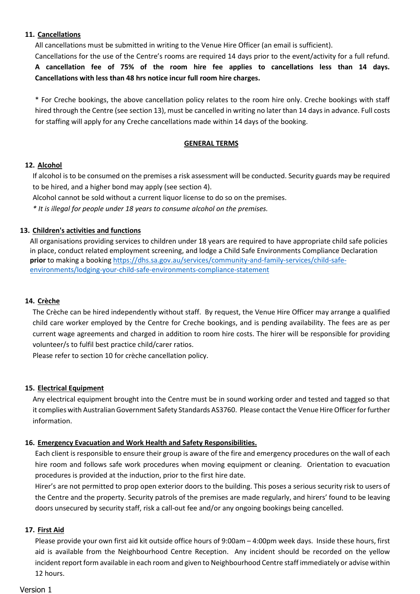#### **11. Cancellations**

All cancellations must be submitted in writing to the Venue Hire Officer (an email is sufficient).

Cancellations for the use of the Centre's rooms are required 14 days prior to the event/activity for a full refund. **A cancellation fee of 75% of the room hire fee applies to cancellations less than 14 days. Cancellations with less than 48 hrs notice incur full room hire charges.**

\* For Creche bookings, the above cancellation policy relates to the room hire only. Creche bookings with staff hired through the Centre (see section 13), must be cancelled in writing no later than 14 days in advance. Full costs for staffing will apply for any Creche cancellations made within 14 days of the booking.

#### **GENERAL TERMS**

#### **12. Alcohol**

If alcohol is to be consumed on the premises a risk assessment will be conducted. Security guards may be required to be hired, and a higher bond may apply (see section 4).

Alcohol cannot be sold without a current liquor license to do so on the premises.

*\* It is illegal for people under 18 years to consume alcohol on the premises.*

#### **13. Children's activities and functions**

All organisations providing services to children under 18 years are required to have appropriate child safe policies in place, conduct related employment screening, and lodge a Child Safe Environments Compliance Declaration **prior** to making a booking [https://dhs.sa.gov.au/services/community-and-family-services/child-safe](https://dhs.sa.gov.au/services/community-and-family-services/child-safe-environments/lodging-your-child-safe-environments-compliance-statement)[environments/lodging-your-child-safe-environments-compliance-statement](https://dhs.sa.gov.au/services/community-and-family-services/child-safe-environments/lodging-your-child-safe-environments-compliance-statement)

#### **14. Crèche**

The Crèche can be hired independently without staff. By request, the Venue Hire Officer may arrange a qualified child care worker employed by the Centre for Creche bookings, and is pending availability. The fees are as per current wage agreements and charged in addition to room hire costs. The hirer will be responsible for providing volunteer/s to fulfil best practice child/carer ratios.

Please refer to section 10 for crèche cancellation policy.

#### **15. Electrical Equipment**

Any electrical equipment brought into the Centre must be in sound working order and tested and tagged so that it complies with Australian Government Safety Standards AS3760. Please contact the Venue Hire Officer for further information.

#### **16. Emergency Evacuation and Work Health and Safety Responsibilities.**

Each client is responsible to ensure their group is aware of the fire and emergency procedures on the wall of each hire room and follows safe work procedures when moving equipment or cleaning. Orientation to evacuation procedures is provided at the induction, prior to the first hire date.

Hirer's are not permitted to prop open exterior doors to the building. This poses a serious security risk to users of the Centre and the property. Security patrols of the premises are made regularly, and hirers' found to be leaving doors unsecured by security staff, risk a call-out fee and/or any ongoing bookings being cancelled.

#### **17. First Aid**

Please provide your own first aid kit outside office hours of 9:00am – 4:00pm week days. Inside these hours, first aid is available from the Neighbourhood Centre Reception. Any incident should be recorded on the yellow incident report form available in each room and given to Neighbourhood Centre staff immediately or advise within 12 hours.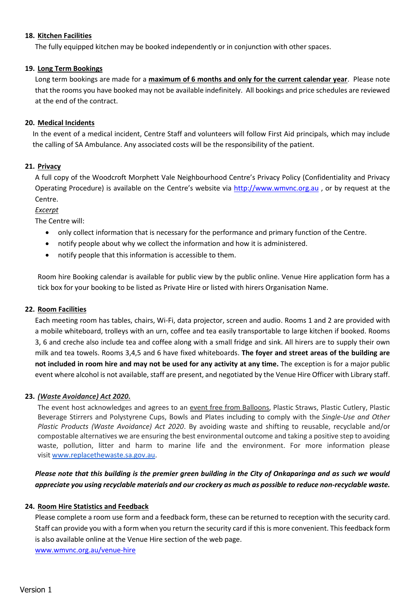#### **18. Kitchen Facilities**

The fully equipped kitchen may be booked independently or in conjunction with other spaces.

#### **19. Long Term Bookings**

Long term bookings are made for a **maximum of 6 months and only for the current calendar year**. Please note that the rooms you have booked may not be available indefinitely. All bookings and price schedules are reviewed at the end of the contract.

#### **20. Medical Incidents**

In the event of a medical incident, Centre Staff and volunteers will follow First Aid principals, which may include the calling of SA Ambulance. Any associated costs will be the responsibility of the patient.

#### **21. Privacy**

A full copy of the Woodcroft Morphett Vale Neighbourhood Centre's Privacy Policy (Confidentiality and Privacy Operating Procedure) is available on the Centre's website via [http://www.wmvnc.org.au](http://www.wmvnc.org.au/), or by request at the Centre.

*Excerpt* 

The Centre will:

- only collect information that is necessary for the performance and primary function of the Centre.
- notify people about why we collect the information and how it is administered.
- notify people that this information is accessible to them.

Room hire Booking calendar is available for public view by the public online. Venue Hire application form has a tick box for your booking to be listed as Private Hire or listed with hirers Organisation Name.

#### **22. Room Facilities**

Each meeting room has tables, chairs, Wi-Fi, data projector, screen and audio. Rooms 1 and 2 are provided with a mobile whiteboard, trolleys with an urn, coffee and tea easily transportable to large kitchen if booked. Rooms 3, 6 and creche also include tea and coffee along with a small fridge and sink. All hirers are to supply their own milk and tea towels. Rooms 3,4,5 and 6 have fixed whiteboards. **The foyer and street areas of the building are not included in room hire and may not be used for any activity at any time.** The exception is for a major public event where alcohol is not available, staff are present, and negotiated by the Venue Hire Officer with Library staff.

#### **23.** *(Waste Avoidance) Act 2020***.**

The event host acknowledges and agrees to an event free from Balloons, Plastic Straws, Plastic Cutlery, Plastic Beverage Stirrers and Polystyrene Cups, Bowls and Plates including to comply with the *Single-Use and Other Plastic Products (Waste Avoidance) Act 2020*. By avoiding waste and shifting to reusable, recyclable and/or compostable alternatives we are ensuring the best environmental outcome and taking a positive step to avoiding waste, pollution, litter and harm to marine life and the environment. For more information please visit [www.replacethewaste.sa.gov.au.](http://www.replacethewaste.sa.gov.au/)

#### *Please note that this building is the premier green building in the City of Onkaparinga and as such we would appreciate you using recyclable materials and our crockery as much as possible to reduce non-recyclable waste.*

#### **24. Room Hire Statistics and Feedback**

Please complete a room use form and a feedback form, these can be returned to reception with the security card. Staff can provide you with a form when you return the security card if this is more convenient. This feedback form is also available online at the Venue Hire section of the web page.

[www.wmvnc.org.au/venue-hire](http://www.wmvnc.org.au/venue-hire)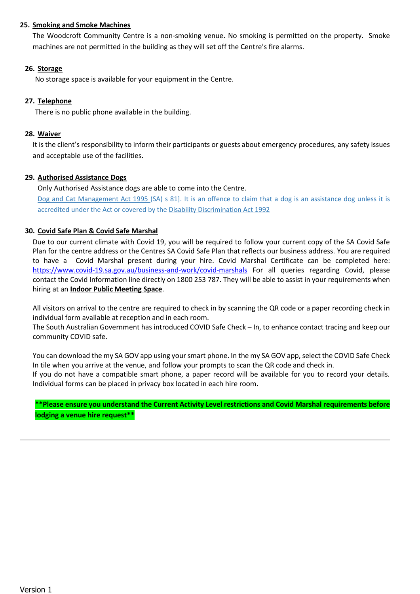#### **25. Smoking and Smoke Machines**

The Woodcroft Community Centre is a non-smoking venue. No smoking is permitted on the property. Smoke machines are not permitted in the building as they will set off the Centre's fire alarms.

#### **26. Storage**

No storage space is available for your equipment in the Centre.

#### **27. Telephone**

There is no public phone available in the building.

#### **28. Waiver**

It is the client's responsibility to inform their participants or guests about emergency procedures, any safety issues and acceptable use of the facilities.

#### **29. Authorised Assistance Dogs**

Only Authorised Assistance dogs are able to come into the Centre.

[Dog and Cat Management Act 1995 \(](http://www.legislation.sa.gov.au/LZ/C/A/DOG%20AND%20CAT%20MANAGEMENT%20ACT%201995.aspx)SA) s 81]. It is an offence to claim that a dog is an assistance dog unless it is accredited under the Act or covered by the [Disability Discrimination Act 1992](https://www.legislation.gov.au/Series/C2004A04426) 

#### **30. Covid Safe Plan & Covid Safe Marshal**

Due to our current climate with Covid 19, you will be required to follow your current copy of the SA Covid Safe Plan for the centre address or the Centres SA Covid Safe Plan that reflects our business address. You are required to have a Covid Marshal present during your hire. Covid Marshal Certificate can be completed here: <https://www.covid-19.sa.gov.au/business-and-work/covid-marshals> For all queries regarding Covid, please contact the Covid Information line directly on 1800 253 787. They will be able to assist in your requirements when hiring at an **Indoor Public Meeting Space**.

All visitors on arrival to the centre are required to check in by scanning the QR code or a paper recording check in individual form available at reception and in each room.

The South Australian Government has introduced COVID Safe Check – In, to enhance contact tracing and keep our community COVID safe.

You can download the my SA GOV app using your smart phone. In the my SA GOV app, select the COVID Safe Check In tile when you arrive at the venue, and follow your prompts to scan the QR code and check in.

If you do not have a compatible smart phone, a paper record will be available for you to record your details. Individual forms can be placed in privacy box located in each hire room.

**\*\*Please ensure you understand the Current Activity Level restrictions and Covid Marshal requirements before lodging a venue hire request\*\***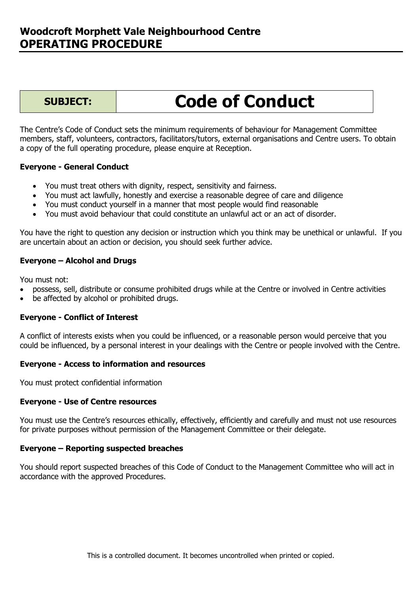# **Code of Conduct**

The Centre's Code of Conduct sets the minimum requirements of behaviour for Management Committee members, staff, volunteers, contractors, facilitators/tutors, external organisations and Centre users. To obtain a copy of the full operating procedure, please enquire at Reception.

#### **Everyone - General Conduct**

- You must treat others with dignity, respect, sensitivity and fairness.
- You must act lawfully, honestly and exercise a reasonable degree of care and diligence
- You must conduct yourself in a manner that most people would find reasonable
- You must avoid behaviour that could constitute an unlawful act or an act of disorder.

You have the right to question any decision or instruction which you think may be unethical or unlawful. If you are uncertain about an action or decision, you should seek further advice.

#### **Everyone – Alcohol and Drugs**

You must not:

- possess, sell, distribute or consume prohibited drugs while at the Centre or involved in Centre activities
- be affected by alcohol or prohibited drugs.

#### **Everyone - Conflict of Interest**

A conflict of interests exists when you could be influenced, or a reasonable person would perceive that you could be influenced, by a personal interest in your dealings with the Centre or people involved with the Centre.

#### **Everyone - Access to information and resources**

You must protect confidential information

#### **Everyone - Use of Centre resources**

You must use the Centre's resources ethically, effectively, efficiently and carefully and must not use resources for private purposes without permission of the Management Committee or their delegate.

#### **Everyone – Reporting suspected breaches**

You should report suspected breaches of this Code of Conduct to the Management Committee who will act in accordance with the approved Procedures.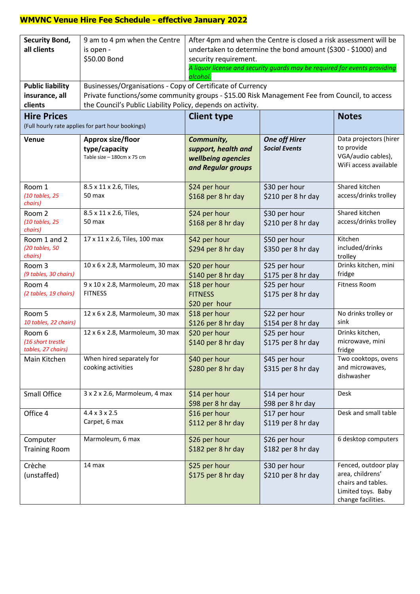#### **WMVNC Venue Hire Fee Schedule - effective January 2022**

| <b>Security Bond,</b><br>all clients<br><b>Public liability</b>         | 9 am to 4 pm when the Centre<br>is open -<br>\$50.00 Bond<br>Businesses/Organisations - Copy of Certificate of Currency                                      | After 4pm and when the Centre is closed a risk assessment will be<br>undertaken to determine the bond amount (\$300 - \$1000) and<br>security requirement.<br>A liquor license and security guards may be required for events providing<br>alcohol. |                                              |                                                                                                            |  |  |  |
|-------------------------------------------------------------------------|--------------------------------------------------------------------------------------------------------------------------------------------------------------|-----------------------------------------------------------------------------------------------------------------------------------------------------------------------------------------------------------------------------------------------------|----------------------------------------------|------------------------------------------------------------------------------------------------------------|--|--|--|
| insurance, all<br>clients                                               | Private functions/some community groups - \$15.00 Risk Management Fee from Council, to access<br>the Council's Public Liability Policy, depends on activity. |                                                                                                                                                                                                                                                     |                                              |                                                                                                            |  |  |  |
| <b>Hire Prices</b><br>(Full hourly rate applies for part hour bookings) |                                                                                                                                                              | <b>Client type</b>                                                                                                                                                                                                                                  |                                              | <b>Notes</b>                                                                                               |  |  |  |
| Venue                                                                   | Approx size/floor<br>type/capacity<br>Table size - 180cm x 75 cm                                                                                             | Community,<br>support, health and<br>wellbeing agencies<br>and Regular groups                                                                                                                                                                       | <b>One off Hirer</b><br><b>Social Events</b> | Data projectors (hirer<br>to provide<br>VGA/audio cables),<br>WiFi access available                        |  |  |  |
| Room 1<br>$(10$ tables, 25<br>chairs)                                   | 8.5 x 11 x 2.6, Tiles,<br>50 max                                                                                                                             | \$24 per hour<br>\$168 per 8 hr day                                                                                                                                                                                                                 | \$30 per hour<br>\$210 per 8 hr day          | Shared kitchen<br>access/drinks trolley                                                                    |  |  |  |
| Room 2<br>(10 tables, 25<br>chairs)                                     | 8.5 x 11 x 2.6, Tiles,<br>50 max                                                                                                                             | \$24 per hour<br>\$168 per 8 hr day                                                                                                                                                                                                                 | \$30 per hour<br>\$210 per 8 hr day          | Shared kitchen<br>access/drinks trolley                                                                    |  |  |  |
| Room 1 and 2<br>(20 tables, 50<br>chairs)                               | 17 x 11 x 2.6, Tiles, 100 max                                                                                                                                | \$42 per hour<br>\$294 per 8 hr day                                                                                                                                                                                                                 | \$50 per hour<br>\$350 per 8 hr day          | Kitchen<br>included/drinks<br>trolley                                                                      |  |  |  |
| Room 3<br>(9 tables, 30 chairs)                                         | 10 x 6 x 2.8, Marmoleum, 30 max                                                                                                                              | \$20 per hour<br>\$140 per 8 hr day                                                                                                                                                                                                                 | \$25 per hour<br>\$175 per 8 hr day          | Drinks kitchen, mini<br>fridge                                                                             |  |  |  |
| Room 4<br>(2 tables, 19 chairs)                                         | 9 x 10 x 2.8, Marmoleum, 20 max<br><b>FITNESS</b>                                                                                                            | \$18 per hour<br><b>FITNESS</b><br>\$20 per hour                                                                                                                                                                                                    | \$25 per hour<br>\$175 per 8 hr day          | <b>Fitness Room</b>                                                                                        |  |  |  |
| Room 5<br>10 tables, 22 chairs)                                         | 12 x 6 x 2.8, Marmoleum, 30 max                                                                                                                              | \$18 per hour<br>\$126 per 8 hr day                                                                                                                                                                                                                 | \$22 per hour<br>\$154 per 8 hr day          | No drinks trolley or<br>sink                                                                               |  |  |  |
| Room 6<br>(16 short trestle<br>tables. 27 chairs)                       | 12 x 6 x 2.8, Marmoleum, 30 max                                                                                                                              | \$20 per hour<br>\$140 per 8 hr day                                                                                                                                                                                                                 | \$25 per hour<br>\$175 per 8 hr day          | Drinks kitchen,<br>microwave, mini<br>fridge                                                               |  |  |  |
| Main Kitchen                                                            | When hired separately for<br>cooking activities                                                                                                              | \$40 per hour<br>\$280 per 8 hr day                                                                                                                                                                                                                 | \$45 per hour<br>\$315 per 8 hr day          | Two cooktops, ovens<br>and microwaves,<br>dishwasher                                                       |  |  |  |
| <b>Small Office</b>                                                     | 3 x 2 x 2.6, Marmoleum, 4 max                                                                                                                                | \$14 per hour<br>\$98 per 8 hr day                                                                                                                                                                                                                  | \$14 per hour<br>\$98 per 8 hr day           | Desk                                                                                                       |  |  |  |
| Office 4                                                                | $4.4 \times 3 \times 2.5$<br>Carpet, 6 max                                                                                                                   | \$16 per hour<br>\$112 per 8 hr day                                                                                                                                                                                                                 | \$17 per hour<br>\$119 per 8 hr day          | Desk and small table                                                                                       |  |  |  |
| Computer<br><b>Training Room</b>                                        | Marmoleum, 6 max                                                                                                                                             | \$26 per hour<br>\$182 per 8 hr day                                                                                                                                                                                                                 | \$26 per hour<br>\$182 per 8 hr day          | 6 desktop computers                                                                                        |  |  |  |
| Crèche<br>(unstaffed)                                                   | 14 max                                                                                                                                                       | \$25 per hour<br>\$175 per 8 hr day                                                                                                                                                                                                                 | \$30 per hour<br>\$210 per 8 hr day          | Fenced, outdoor play<br>area, childrens'<br>chairs and tables.<br>Limited toys. Baby<br>change facilities. |  |  |  |